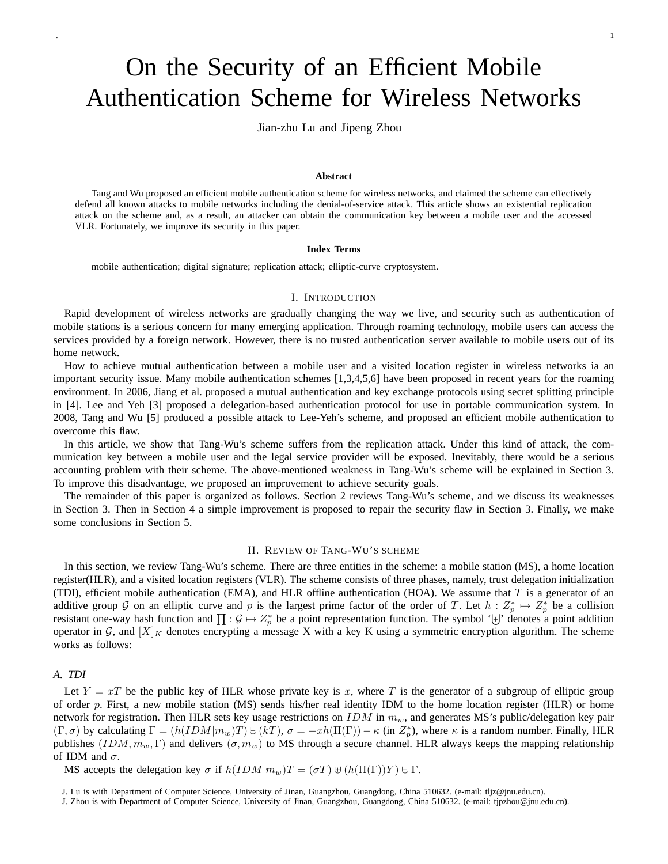# On the Security of an Efficient Mobile Authentication Scheme for Wireless Networks

Jian-zhu Lu and Jipeng Zhou

#### **Abstract**

Tang and Wu proposed an efficient mobile authentication scheme for wireless networks, and claimed the scheme can effectively defend all known attacks to mobile networks including the denial-of-service attack. This article shows an existential replication attack on the scheme and, as a result, an attacker can obtain the communication key between a mobile user and the accessed VLR. Fortunately, we improve its security in this paper.

## **Index Terms**

mobile authentication; digital signature; replication attack; elliptic-curve cryptosystem.

#### I. INTRODUCTION

Rapid development of wireless networks are gradually changing the way we live, and security such as authentication of mobile stations is a serious concern for many emerging application. Through roaming technology, mobile users can access the services provided by a foreign network. However, there is no trusted authentication server available to mobile users out of its home network.

How to achieve mutual authentication between a mobile user and a visited location register in wireless networks ia an important security issue. Many mobile authentication schemes [1,3,4,5,6] have been proposed in recent years for the roaming environment. In 2006, Jiang et al. proposed a mutual authentication and key exchange protocols using secret splitting principle in [4]. Lee and Yeh [3] proposed a delegation-based authentication protocol for use in portable communication system. In 2008, Tang and Wu [5] produced a possible attack to Lee-Yeh's scheme, and proposed an efficient mobile authentication to overcome this flaw.

In this article, we show that Tang-Wu's scheme suffers from the replication attack. Under this kind of attack, the communication key between a mobile user and the legal service provider will be exposed. Inevitably, there would be a serious accounting problem with their scheme. The above-mentioned weakness in Tang-Wu's scheme will be explained in Section 3. To improve this disadvantage, we proposed an improvement to achieve security goals.

The remainder of this paper is organized as follows. Section 2 reviews Tang-Wu's scheme, and we discuss its weaknesses in Section 3. Then in Section 4 a simple improvement is proposed to repair the security flaw in Section 3. Finally, we make some conclusions in Section 5.

# II. REVIEW OF TANG-WU'S SCHEME

In this section, we review Tang-Wu's scheme. There are three entities in the scheme: a mobile station (MS), a home location register(HLR), and a visited location registers (VLR). The scheme consists of three phases, namely, trust delegation initialization (TDI), efficient mobile authentication (EMA), and HLR offline authentication (HOA). We assume that  $T$  is a generator of an additive group G on an elliptic curve and p is the largest prime factor of the order of T. Let  $h: Z_p^* \mapsto Z_p^*$  be a collision additive group 9 on an empire curve and p is the largest prime factor of the order of 1. Let  $h: \mathbb{Z}_p \mapsto \mathbb{Z}_p$  be a comision resistant one-way hash function and  $\prod : \mathcal{G} \mapsto \mathbb{Z}_p^*$  be a point representation functi operator in G, and  $[X]_K$  denotes encrypting a message X with a key K using a symmetric encryption algorithm. The scheme works as follows:

# *A. TDI*

Let  $Y = xT$  be the public key of HLR whose private key is x, where T is the generator of a subgroup of elliptic group of order p. First, a new mobile station (MS) sends his/her real identity IDM to the home location register (HLR) or home network for registration. Then HLR sets key usage restrictions on  $IDM$  in  $m_w$ , and generates MS's public/delegation key pair  $(\Gamma, \sigma)$  by calculating  $\Gamma = (h(IDM|m_w)T) \cup (kT), \sigma = -xh(\Pi(\Gamma)) - \kappa$  (in  $Z_p^*$ ), where  $\kappa$  is a random number. Finally, HLR publishes  $(IDM, m_w, \Gamma)$  and delivers  $(\sigma, m_w)$  to MS through a secure channel. HLR always keeps the mapping relationship of IDM and  $\sigma$ .

MS accepts the delegation key  $\sigma$  if  $h(IDM|m_w)T = (\sigma T) \uplus (h(\Pi(\Gamma))Y) \uplus \Gamma$ .

J. Lu is with Department of Computer Science, University of Jinan, Guangzhou, Guangdong, China 510632. (e-mail: tljz@jnu.edu.cn).

J. Zhou is with Department of Computer Science, University of Jinan, Guangzhou, Guangdong, China 510632. (e-mail: tjpzhou@jnu.edu.cn).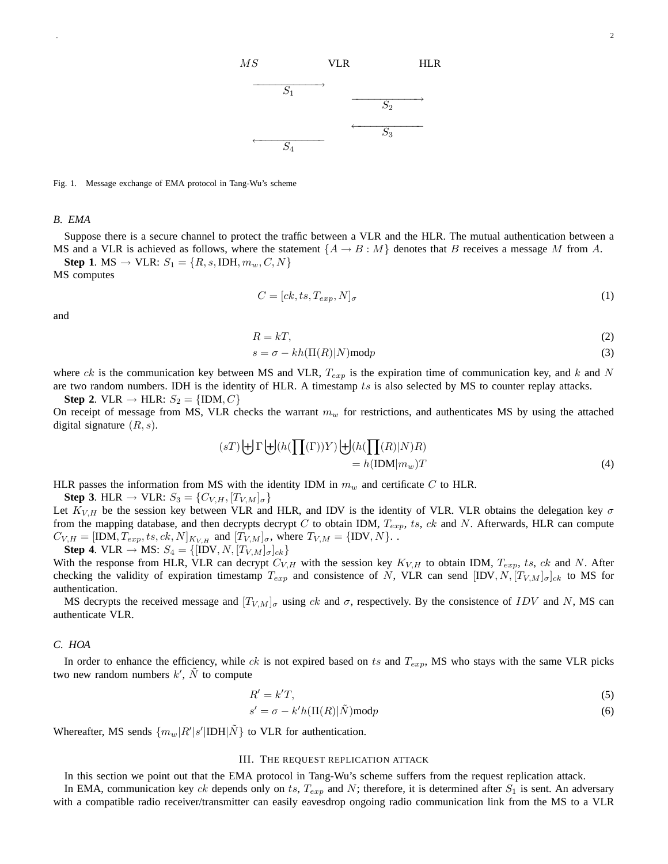

. <u>2</u>

Fig. 1. Message exchange of EMA protocol in Tang-Wu's scheme

#### *B. EMA*

Suppose there is a secure channel to protect the traffic between a VLR and the HLR. The mutual authentication between a MS and a VLR is achieved as follows, where the statement  $\{A \rightarrow B : M\}$  denotes that B receives a message M from A.

**Step 1**. MS  $\rightarrow$  VLR:  $S_1 = \{R, s, \text{IDH}, m_w, C, N\}$ MS computes

$$
C = [ck, ts, T_{exp}, N]_{\sigma}
$$
\n<sup>(1)</sup>

and

$$
R = kT,\tag{2}
$$

$$
s = \sigma - kh(\Pi(R)|N) \text{mod} p \tag{3}
$$

where ck is the communication key between MS and VLR,  $T_{exp}$  is the expiration time of communication key, and k and N are two random numbers. IDH is the identity of HLR. A timestamp  $ts$  is also selected by MS to counter replay attacks.

**Step 2.** VLR  $\rightarrow$  HLR:  $S_2 = \{IDM, C\}$ 

On receipt of message from MS, VLR checks the warrant  $m_w$  for restrictions, and authenticates MS by using the attached digital signature  $(R, s)$ .

$$
(sT)\biguplus \Gamma \biguplus (h(\prod(\Gamma))Y)\biguplus (h(\prod(R)|N)R)
$$
  
=  $h(\text{IDM}|m_w)T$  (4)

HLR passes the information from MS with the identity IDM in  $m_w$  and certificate C to HLR.

**Step 3**. HLR  $\rightarrow$  VLR:  $S_3 = \{C_{V,H}, [T_{V,M}]_{\sigma}\}\$ 

Let  $K_{V,H}$  be the session key between VLR and HLR, and IDV is the identity of VLR. VLR obtains the delegation key  $\sigma$ from the mapping database, and then decrypts decrypt C to obtain IDM,  $T_{exp}$ , ts, ck and N. Afterwards, HLR can compute  $C_{V,H} = [\text{IDM}, T_{exp}, ts, ck, N]_{K_{V,H}}$  and  $[T_{V,M}]_{\sigma}$ , where  $T_{V,M} = {\text{IDV}, N}$ .

**Step 4**. VLR  $\rightarrow$  MS:  $S_4 = \{[IDV, N, [T_{V,M}]_{\sigma}]\}_{ck}\}$ With the response from HLR, VLR can decrypt  $C_{V,H}$  with the session key  $K_{V,H}$  to obtain IDM,  $T_{exp}$ , ts, ck and N. After checking the validity of expiration timestamp  $T_{exp}$  and consistence of N, VLR can send  $[IDV, N, [T_{V,M}]_{\sigma}]_{ck}$  to MS for authentication.

MS decrypts the received message and  $[T_{V,M}]_{\sigma}$  using ck and  $\sigma$ , respectively. By the consistence of IDV and N, MS can authenticate VLR.

# *C. HOA*

In order to enhance the efficiency, while ck is not expired based on ts and  $T_{exp}$ , MS who stays with the same VLR picks two new random numbers  $k'$ ,  $\tilde{N}$  to compute

$$
R'=k'T,\tag{5}
$$

$$
s' = \sigma - k'h(\Pi(R)|\tilde{N})\text{mod}p\tag{6}
$$

Whereafter, MS sends  $\{m_w | R'|s' | IDH | \tilde{N} \}$  to VLR for authentication.

# III. THE REQUEST REPLICATION ATTACK

In this section we point out that the EMA protocol in Tang-Wu's scheme suffers from the request replication attack.

In EMA, communication key ck depends only on ts,  $T_{exp}$  and N; therefore, it is determined after  $S_1$  is sent. An adversary with a compatible radio receiver/transmitter can easily eavesdrop ongoing radio communication link from the MS to a VLR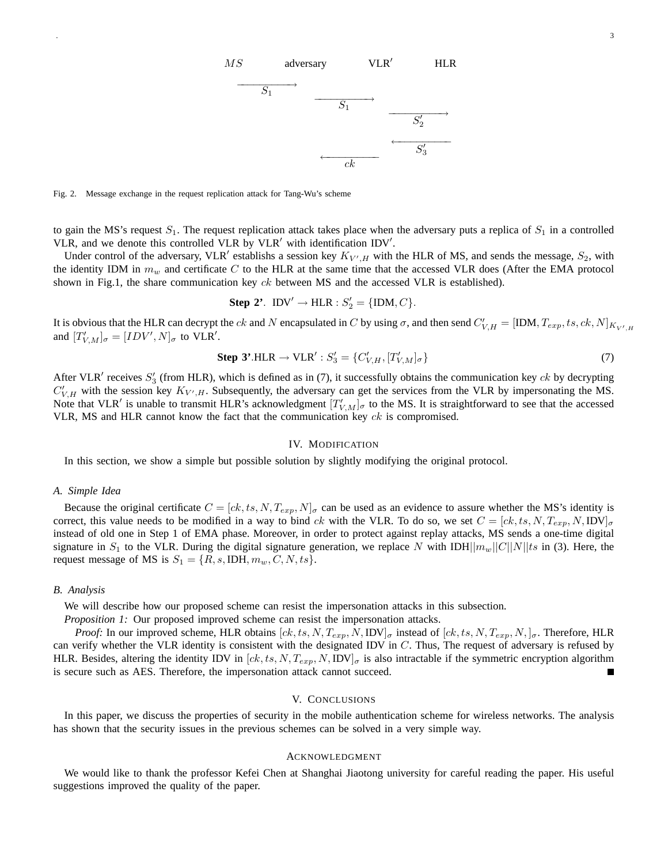

Fig. 2. Message exchange in the request replication attack for Tang-Wu's scheme

to gain the MS's request  $S_1$ . The request replication attack takes place when the adversary puts a replica of  $S_1$  in a controlled VLR, and we denote this controlled VLR by VLR' with identification IDV'.

Under control of the adversary, VLR' establishs a session key  $K_{V',H}$  with the HLR of MS, and sends the message,  $S_2$ , with the identity IDM in  $m_w$  and certificate C to the HLR at the same time that the accessed VLR does (After the EMA protocol shown in Fig.1, the share communication key  $ck$  between MS and the accessed VLR is established).

Step 2'. 
$$
IDV' \rightarrow HLR : S'_2 = \{IDM, C\}.
$$

It is obvious that the HLR can decrypt the  $ck$  and N encapsulated in C by using  $\sigma$ , and then send  $C'_{V,H} = [\text{IDM}, T_{exp}, ts, ck, N]_{K_{V',H}}$ and  $[T'_{V,M}]_{\sigma} = [IDV', N]_{\sigma}$  to VLR'.

Step 3'.HLR 
$$
\rightarrow
$$
 VLR' :  $S_3' = \{C'_{V,H}, [T'_{V,M}]_{\sigma}\}$  (7)

After VLR' receives  $S'_3$  (from HLR), which is defined as in (7), it successfully obtains the communication key ck by decrypting  $C'_{V,H}$  with the session key  $K_{V',H}$ . Subsequently, the adversary can get the services from the VLR by impersonating the MS. Note that VLR' is unable to transmit HLR's acknowledgment  $[T'_{V,M}]_{\sigma}$  to the MS. It is straightforward to see that the accessed VLR, MS and HLR cannot know the fact that the communication key  $ck$  is compromised.

#### IV. MODIFICATION

In this section, we show a simple but possible solution by slightly modifying the original protocol.

#### *A. Simple Idea*

Because the original certificate  $C = [ck, ts, N, T_{exp}, N]_{\sigma}$  can be used as an evidence to assure whether the MS's identity is correct, this value needs to be modified in a way to bind ck with the VLR. To do so, we set  $C = [ck, ts, N, T_{exp}, N, IDV]_{\sigma}$ instead of old one in Step 1 of EMA phase. Moreover, in order to protect against replay attacks, MS sends a one-time digital signature in  $S_1$  to the VLR. During the digital signature generation, we replace N with IDH $||m_w||C||N||ts$  in (3). Here, the request message of MS is  $S_1 = \{R, s, \text{IDH}, m_w, C, N, ts\}.$ 

#### *B. Analysis*

We will describe how our proposed scheme can resist the impersonation attacks in this subsection.

*Proposition 1:* Our proposed improved scheme can resist the impersonation attacks.

*Proof:* In our improved scheme, HLR obtains  $[ck, ts, N, T_{exp}, N, IDV]_{\sigma}$  instead of  $[ck, ts, N, T_{exp}, N, J_{\sigma}$ . Therefore, HLR can verify whether the VLR identity is consistent with the designated IDV in  $C$ . Thus, The request of adversary is refused by HLR. Besides, altering the identity IDV in  $[ck, ts, N, T_{exp}, N, IDV]_{\sigma}$  is also intractable if the symmetric encryption algorithm is secure such as AES. Therefore, the impersonation attack cannot succeed.

### V. CONCLUSIONS

In this paper, we discuss the properties of security in the mobile authentication scheme for wireless networks. The analysis has shown that the security issues in the previous schemes can be solved in a very simple way.

# ACKNOWLEDGMENT

We would like to thank the professor Kefei Chen at Shanghai Jiaotong university for careful reading the paper. His useful suggestions improved the quality of the paper.